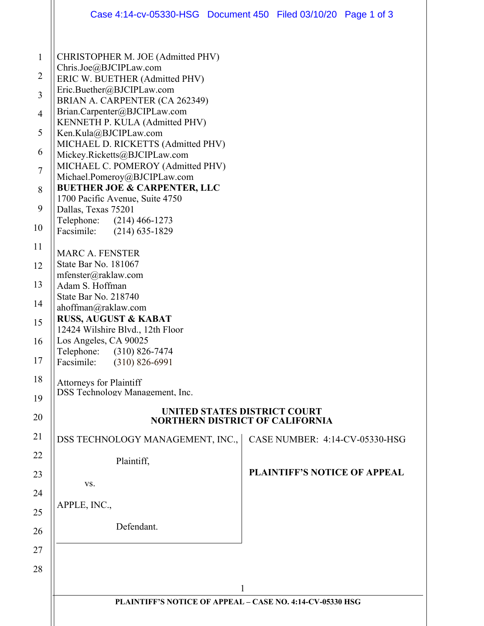|                          | Case 4:14-cv-05330-HSG  Document 450  Filed 03/10/20  Page 1 of 3                                                                                                                                                                                                                                                                                                                                                                                                                                                                               |                              |                                        |  |
|--------------------------|-------------------------------------------------------------------------------------------------------------------------------------------------------------------------------------------------------------------------------------------------------------------------------------------------------------------------------------------------------------------------------------------------------------------------------------------------------------------------------------------------------------------------------------------------|------------------------------|----------------------------------------|--|
| Telephone:<br>Facsimile: | CHRISTOPHER M. JOE (Admitted PHV)<br>Chris.Joe@BJCIPLaw.com<br>ERIC W. BUETHER (Admitted PHV)<br>Eric.Buether@BJCIPLaw.com<br>BRIAN A. CARPENTER (CA 262349)<br>Brian.Carpenter@BJCIPLaw.com<br>KENNETH P. KULA (Admitted PHV)<br>Ken.Kula@BJCIPLaw.com<br>MICHAEL D. RICKETTS (Admitted PHV)<br>Mickey.Ricketts@BJCIPLaw.com<br>MICHAEL C. POMEROY (Admitted PHV)<br>Michael.Pomeroy@BJCIPLaw.com<br><b>BUETHER JOE &amp; CARPENTER, LLC</b><br>1700 Pacific Avenue, Suite 4750<br>Dallas, Texas 75201<br>$(214)$ 466-1273<br>$(214)$ 635-1829 |                              |                                        |  |
|                          | <b>MARC A. FENSTER</b><br>State Bar No. 181067<br>mfenster@raklaw.com                                                                                                                                                                                                                                                                                                                                                                                                                                                                           |                              |                                        |  |
|                          | Adam S. Hoffman<br>State Bar No. 218740                                                                                                                                                                                                                                                                                                                                                                                                                                                                                                         |                              |                                        |  |
|                          | ahoffman@raklaw.com<br><b>RUSS, AUGUST &amp; KABAT</b><br>12424 Wilshire Blvd., 12th Floor                                                                                                                                                                                                                                                                                                                                                                                                                                                      |                              |                                        |  |
| Telephone:<br>Facsimile: | Los Angeles, CA 90025<br>$(310) 826 - 7474$<br>$(310) 826 - 6991$                                                                                                                                                                                                                                                                                                                                                                                                                                                                               |                              |                                        |  |
|                          | <b>Attorneys for Plaintiff</b><br><b>DSS Technology Management, Inc.</b>                                                                                                                                                                                                                                                                                                                                                                                                                                                                        |                              |                                        |  |
|                          |                                                                                                                                                                                                                                                                                                                                                                                                                                                                                                                                                 | UNITED STATES DISTRICT COURT | <b>NORTHERN DISTRICT OF CALIFORNIA</b> |  |
|                          | DSS TECHNOLOGY MANAGEMENT, INC.,                                                                                                                                                                                                                                                                                                                                                                                                                                                                                                                |                              | CASE NUMBER: 4:14-CV-05330-HSG         |  |
|                          | Plaintiff,                                                                                                                                                                                                                                                                                                                                                                                                                                                                                                                                      |                              | <b>PLAINTIFF'S NOTICE OF APPEAL</b>    |  |
|                          | VS.                                                                                                                                                                                                                                                                                                                                                                                                                                                                                                                                             |                              |                                        |  |
| APPLE, INC.,             |                                                                                                                                                                                                                                                                                                                                                                                                                                                                                                                                                 |                              |                                        |  |
|                          | Defendant.                                                                                                                                                                                                                                                                                                                                                                                                                                                                                                                                      |                              |                                        |  |
|                          |                                                                                                                                                                                                                                                                                                                                                                                                                                                                                                                                                 |                              |                                        |  |
|                          |                                                                                                                                                                                                                                                                                                                                                                                                                                                                                                                                                 | 1                            |                                        |  |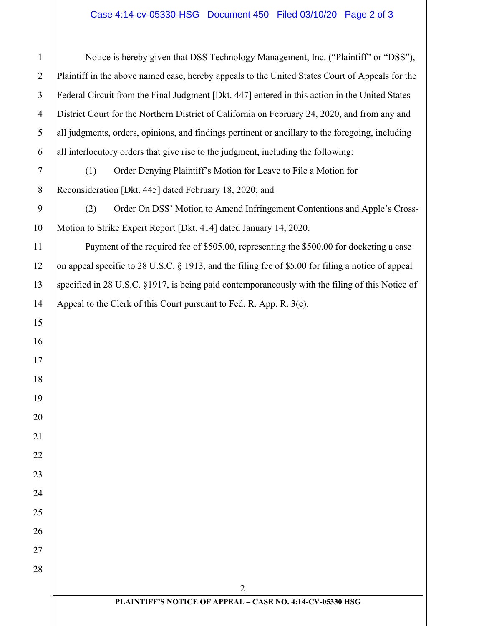Notice is hereby given that DSS Technology Management, Inc. ("Plaintiff" or "DSS"), Plaintiff in the above named case, hereby appeals to the United States Court of Appeals for the Federal Circuit from the Final Judgment [Dkt. 447] entered in this action in the United States District Court for the Northern District of California on February 24, 2020, and from any and all judgments, orders, opinions, and findings pertinent or ancillary to the foregoing, including all interlocutory orders that give rise to the judgment, including the following: (1) Order Denying Plaintiff's Motion for Leave to File a Motion for Reconsideration [Dkt. 445] dated February 18, 2020; and

(2) Order On DSS' Motion to Amend Infringement Contentions and Apple's Cross-Motion to Strike Expert Report [Dkt. 414] dated January 14, 2020.

Payment of the required fee of \$505.00, representing the \$500.00 for docketing a case on appeal specific to 28 U.S.C. § 1913, and the filing fee of \$5.00 for filing a notice of appeal specified in 28 U.S.C. §1917, is being paid contemporaneously with the filing of this Notice of Appeal to the Clerk of this Court pursuant to Fed. R. App. R. 3(e).